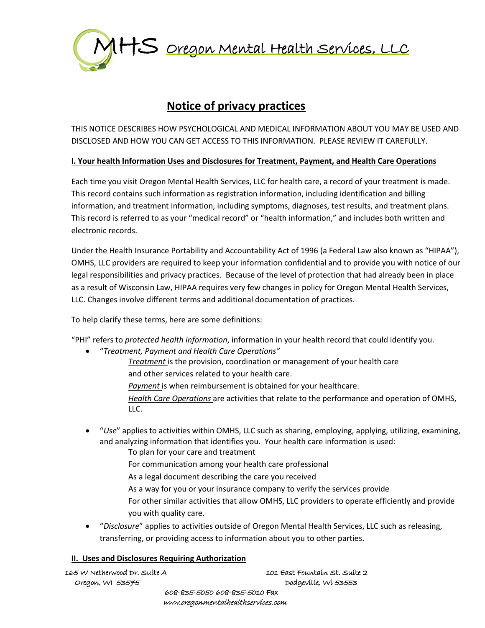

# **Notice of privacy practices**

THIS NOTICE DESCRIBES HOW PSYCHOLOGICAL AND MEDICAL INFORMATION ABOUT YOU MAY BE USED AND DISCLOSED AND HOW YOU CAN GET ACCESS TO THIS INFORMATION. PLEASE REVIEW IT CAREFULLY.

## **I. Your health Information Uses and Disclosures for Treatment, Payment, and Health Care Operations**

Each time you visit Oregon Mental Health Services, LLC for health care, a record of your treatment is made. This record contains such information as registration information, including identification and billing information, and treatment information, including symptoms, diagnoses, test results, and treatment plans. This record is referred to as your "medical record" or "health information," and includes both written and electronic records.

Under the Health Insurance Portability and Accountability Act of 1996 (a Federal Law also known as "HIPAA"), OMHS, LLC providers are required to keep your information confidential and to provide you with notice of our legal responsibilities and privacy practices. Because of the level of protection that had already been in place as a result of Wisconsin Law, HIPAA requires very few changes in policy for Oregon Mental Health Services, LLC. Changes involve different terms and additional documentation of practices.

To help clarify these terms, here are some definitions:

"PHI" refers to *protected health information*, information in your health record that could identify you.

• "*Treatment, Payment and Health Care Operations"*

*Treatment* is the provision, coordination or management of your health care and other services related to your health care.

**Payment** is when reimbursement is obtained for your healthcare.

*Health Care Operations* are activities that relate to the performance and operation of OMHS, LLC.

- "*Use*" applies to activities within OMHS, LLC such as sharing, employing, applying, utilizing, examining, and analyzing information that identifies you. Your health care information is used:
	- To plan for your care and treatment
	- For communication among your health care professional
	- As a legal document describing the care you received
	- As a way for you or your insurance company to verify the services provide
	- For other similar activities that allow OMHS, LLC providers to operate efficiently and provide you with quality care.
- "*Disclosure*" applies to activities outside of Oregon Mental Health Services, LLC such as releasing, transferring, or providing access to information about you to other parties.

## **II. Uses and Disclosures Requiring Authorization**

| 165 W Netherwood Dr. Suite A  | 101 East Fountain St. Suite 2 |
|-------------------------------|-------------------------------|
| Oregon, WI 53575              | Dodgeville, Wi 53553          |
| 608-835-5050 608-835-5010 Fax |                               |

www.oregonmentalhealthservices.com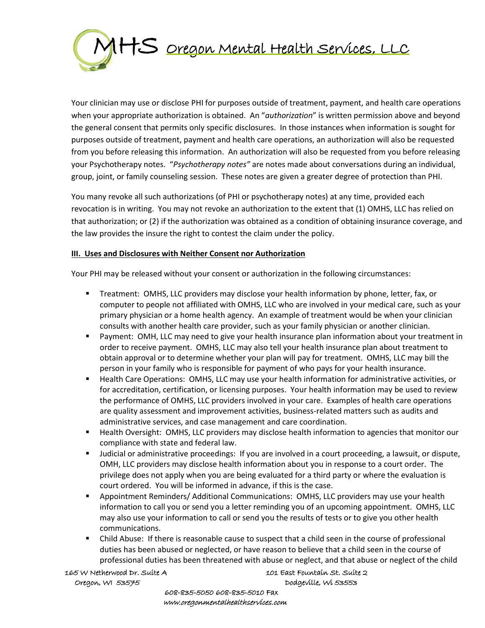

Your clinician may use or disclose PHI for purposes outside of treatment, payment, and health care operations when your appropriate authorization is obtained. An "*authorization*" is written permission above and beyond the general consent that permits only specific disclosures. In those instances when information is sought for purposes outside of treatment, payment and health care operations, an authorization will also be requested from you before releasing this information. An authorization will also be requested from you before releasing your Psychotherapy notes. "*Psychotherapy notes"* are notes made about conversations during an individual, group, joint, or family counseling session. These notes are given a greater degree of protection than PHI.

You many revoke all such authorizations (of PHI or psychotherapy notes) at any time, provided each revocation is in writing. You may not revoke an authorization to the extent that (1) OMHS, LLC has relied on that authorization; or (2) if the authorization was obtained as a condition of obtaining insurance coverage, and the law provides the insure the right to contest the claim under the policy.

#### **III. Uses and Disclosures with Neither Consent nor Authorization**

Your PHI may be released without your consent or authorization in the following circumstances:

- **EXECT** Treatment: OMHS, LLC providers may disclose your health information by phone, letter, fax, or computer to people not affiliated with OMHS, LLC who are involved in your medical care, such as your primary physician or a home health agency. An example of treatment would be when your clinician consults with another health care provider, such as your family physician or another clinician.
- Payment: OMH, LLC may need to give your health insurance plan information about your treatment in order to receive payment. OMHS, LLC may also tell your health insurance plan about treatment to obtain approval or to determine whether your plan will pay for treatment. OMHS, LLC may bill the person in your family who is responsible for payment of who pays for your health insurance.
- Health Care Operations: OMHS, LLC may use your health information for administrative activities, or for accreditation, certification, or licensing purposes. Your health information may be used to review the performance of OMHS, LLC providers involved in your care. Examples of health care operations are quality assessment and improvement activities, business-related matters such as audits and administrative services, and case management and care coordination.
- Health Oversight: OMHS, LLC providers may disclose health information to agencies that monitor our compliance with state and federal law.
- Judicial or administrative proceedings: If you are involved in a court proceeding, a lawsuit, or dispute, OMH, LLC providers may disclose health information about you in response to a court order. The privilege does not apply when you are being evaluated for a third party or where the evaluation is court ordered. You will be informed in advance, if this is the case.
- Appointment Reminders/ Additional Communications: OMHS, LLC providers may use your health information to call you or send you a letter reminding you of an upcoming appointment. OMHS, LLC may also use your information to call or send you the results of tests or to give you other health communications.
- Child Abuse: If there is reasonable cause to suspect that a child seen in the course of professional duties has been abused or neglected, or have reason to believe that a child seen in the course of professional duties has been threatened with abuse or neglect, and that abuse or neglect of the child

 165 W Netherwood Dr. Suite A 101 East Fountain St. Suite 2 Oregon, WI 53575 Dodgeville, Wi 53553

 608-835-5050 608-835-5010 Fax www.oregonmentalhealthservices.com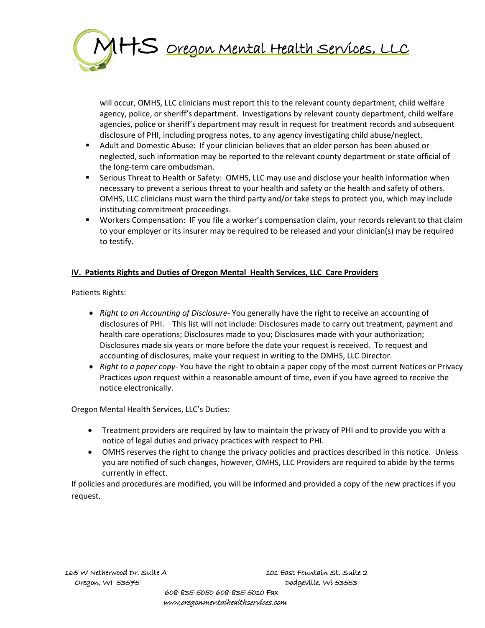

will occur, OMHS, LLC clinicians must report this to the relevant county department, child welfare agency, police, or sheriff's department. Investigations by relevant county department, child welfare agencies, police or sheriff's department may result in request for treatment records and subsequent disclosure of PHI, including progress notes, to any agency investigating child abuse/neglect.

- Adult and Domestic Abuse: If your clinician believes that an elder person has been abused or neglected, such information may be reported to the relevant county department or state official of the long-term care ombudsman.
- **■** Serious Threat to Health or Safety: OMHS, LLC may use and disclose your health information when necessary to prevent a serious threat to your health and safety or the health and safety of others. OMHS, LLC clinicians must warn the third party and/or take steps to protect you, which may include instituting commitment proceedings.
- Workers Compensation: IF you file a worker's compensation claim, your records relevant to that claim to your employer or its insurer may be required to be released and your clinician(s) may be required to testify.

## **IV. Patients Rights and Duties of Oregon Mental Health Services, LLC Care Providers**

Patients Rights:

- *Right to an Accounting of Disclosure-* You generally have the right to receive an accounting of disclosures of PHI. This list will not include: Disclosures made to carry out treatment, payment and health care operations; Disclosures made to you; Disclosures made with your authorization; Disclosures made six years or more before the date your request is received. To request and accounting of disclosures, make your request in writing to the OMHS, LLC Director.
- *Right to a paper copy* You have the right to obtain a paper copy of the most current Notices or Privacy Practices *upon* request within a reasonable amount of time, even if you have agreed to receive the notice electronically.

Oregon Mental Health Services, LLC's Duties:

- Treatment providers are required by law to maintain the privacy of PHI and to provide you with a notice of legal duties and privacy practices with respect to PHI.
- OMHS reserves the right to change the privacy policies and practices described in this notice. Unless you are notified of such changes, however, OMHS, LLC Providers are required to abide by the terms currently in effect.

If policies and procedures are modified, you will be informed and provided a copy of the new practices if you request.